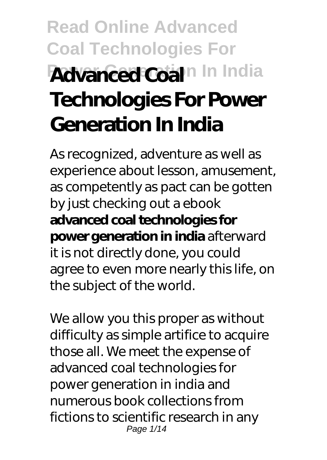# **Read Online Advanced Coal Technologies For Advanced Coal**<sup>n</sup> In India **Technologies For Power Generation In India**

As recognized, adventure as well as experience about lesson, amusement, as competently as pact can be gotten by just checking out a ebook **advanced coal technologies for power generation in india** afterward it is not directly done, you could agree to even more nearly this life, on the subject of the world.

We allow you this proper as without difficulty as simple artifice to acquire those all. We meet the expense of advanced coal technologies for power generation in india and numerous book collections from fictions to scientific research in any Page 1/14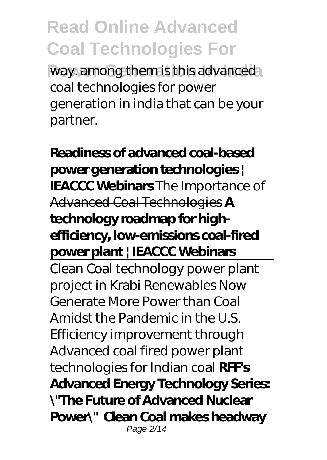way. among them is this advanced coal technologies for power generation in india that can be your partner.

**Readiness of advanced coal-based power generation technologies | IEACCC Webinars** The Importance of Advanced Coal Technologies **A technology roadmap for highefficiency, low-emissions coal-fired power plant | IEACCC Webinars**

Clean Coal technology power plant project in Krabi Renewables Now Generate More Power than Coal Amidst the Pandemic in the U.S. *Efficiency improvement through Advanced coal fired power plant technologies for Indian coal* **RFF's Advanced Energy Technology Series: \"The Future of Advanced Nuclear Power\" Clean Coal makes headway** Page 2/14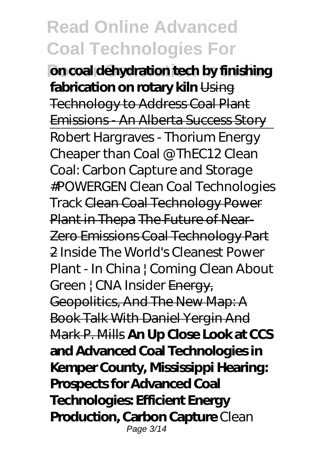**Pon coal dehydration tech by finishing fabrication on rotary kiln** Using Technology to Address Coal Plant Emissions - An Alberta Success Story Robert Hargraves - Thorium Energy Cheaper than Coal @ ThEC12 Clean Coal: Carbon Capture and Storage #POWERGEN Clean Coal Technologies Track Clean Coal Technology Power Plant in Thepa The Future of Near-Zero Emissions Coal Technology Part 2 *Inside The World's Cleanest Power Plant - In China | Coming Clean About Green | CNA Insider* Energy, Geopolitics, And The New Map: A Book Talk With Daniel Yergin And Mark P. Mills **An Up Close Look at CCS and Advanced Coal Technologies in Kemper County, Mississippi Hearing: Prospects for Advanced Coal Technologies: Efficient Energy Production, Carbon Capture** *Clean* Page 3/14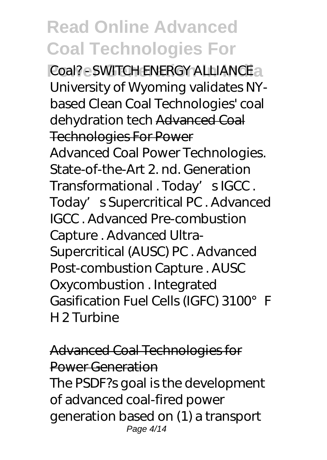**Power Generation In India** *Coal? - SWITCH ENERGY ALLIANCE University of Wyoming validates NYbased Clean Coal Technologies' coal dehydration tech* Advanced Coal Technologies For Power Advanced Coal Power Technologies. State-of-the-Art 2 nd. Generation Transformational . Today' sIGCC. Today's Supercritical PC. Advanced IGCC . Advanced Pre-combustion Capture . Advanced Ultra-Supercritical (AUSC) PC . Advanced Post-combustion Capture . AUSC Oxycombustion . Integrated Gasification Fuel Cells (IGFC) 3100° F H 2 Turbine

Advanced Coal Technologies for Power Generation The PSDF?s goal is the development of advanced coal-fired power generation based on (1) a transport Page 4/14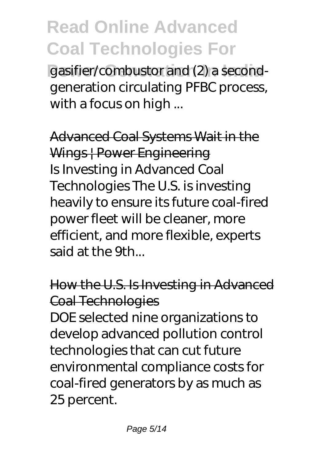gasifier/combustor and (2) a secondgeneration circulating PFBC process, with a focus on high ...

Advanced Coal Systems Wait in the Wings | Power Engineering Is Investing in Advanced Coal Technologies The U.S. is investing heavily to ensure its future coal-fired power fleet will be cleaner, more efficient, and more flexible, experts said at the 9th...

How the U.S. Is Investing in Advanced Coal Technologies

DOE selected nine organizations to develop advanced pollution control technologies that can cut future environmental compliance costs for coal-fired generators by as much as 25 percent.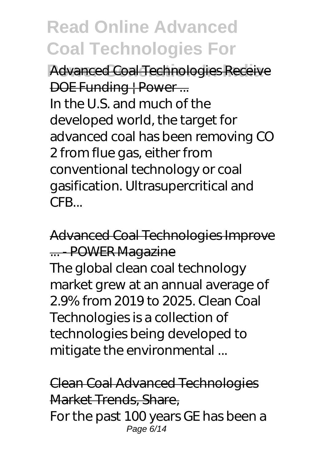**Advanced Coal Technologies Receive** DOE Funding | Power ... In the U.S. and much of the developed world, the target for advanced coal has been removing CO 2 from flue gas, either from conventional technology or coal gasification. Ultrasupercritical and CFB...

Advanced Coal Technologies Improve ... - POWER Magazine The global clean coal technology market grew at an annual average of 2.9% from 2019 to 2025. Clean Coal Technologies is a collection of technologies being developed to mitigate the environmental ...

Clean Coal Advanced Technologies Market Trends, Share, For the past 100 years GE has been a Page 6/14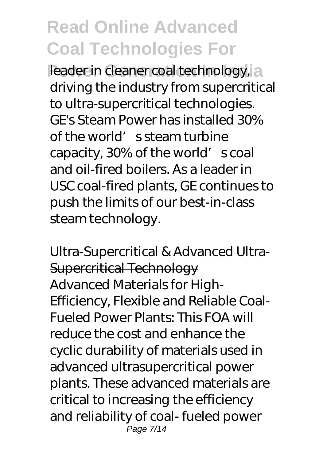**Peader in cleaner coal technology, a** driving the industry from supercritical to ultra-supercritical technologies. GE's Steam Power has installed 30% of the world's steam turbine capacity, 30% of the world' scoal and oil-fired boilers. As a leader in USC coal-fired plants, GE continues to push the limits of our best-in-class steam technology.

Ultra-Supercritical & Advanced Ultra-Supercritical Technology Advanced Materials for High-Efficiency, Flexible and Reliable Coal-Fueled Power Plants: This FOA will reduce the cost and enhance the cyclic durability of materials used in advanced ultrasupercritical power plants. These advanced materials are critical to increasing the efficiency and reliability of coal- fueled power Page 7/14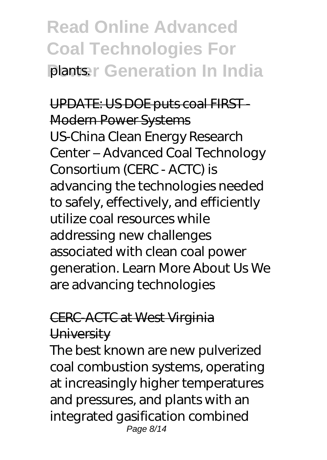### **Read Online Advanced Coal Technologies For Plants: Generation In India**

UPDATE: US DOE puts coal FIRST-Modern Power Systems US-China Clean Energy Research Center – Advanced Coal Technology Consortium (CERC - ACTC) is advancing the technologies needed to safely, effectively, and efficiently utilize coal resources while addressing new challenges associated with clean coal power generation. Learn More About Us We are advancing technologies

#### CERC-ACTC at West Virginia **University**

The best known are new pulverized coal combustion systems, operating at increasingly higher temperatures and pressures, and plants with an integrated gasification combined Page 8/14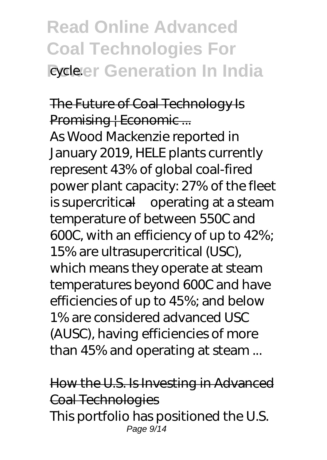#### **Read Online Advanced Coal Technologies For Power Generation In India**

#### The Future of Coal Technology Is Promising | Economic ...

As Wood Mackenzie reported in January 2019, HELE plants currently represent 43% of global coal-fired power plant capacity: 27% of the fleet is supercritical—operating at a steam temperature of between 550C and 600C, with an efficiency of up to 42%; 15% are ultrasupercritical (USC), which means they operate at steam temperatures beyond 600C and have efficiencies of up to 45%; and below 1% are considered advanced USC (AUSC), having efficiencies of more than 45% and operating at steam ...

How the U.S. Is Investing in Advanced Coal Technologies This portfolio has positioned the U.S. Page 9/14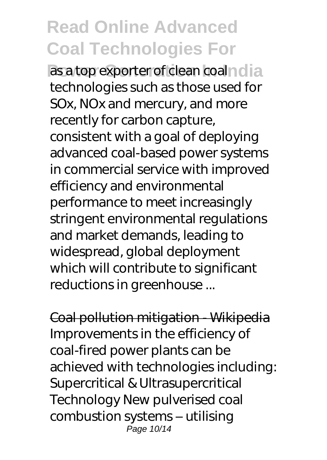as a top exporter of clean coalndia technologies such as those used for SOx, NOx and mercury, and more recently for carbon capture, consistent with a goal of deploying advanced coal-based power systems in commercial service with improved efficiency and environmental performance to meet increasingly stringent environmental regulations and market demands, leading to widespread, global deployment which will contribute to significant reductions in greenhouse ...

Coal pollution mitigation - Wikipedia Improvements in the efficiency of coal-fired power plants can be achieved with technologies including: Supercritical & Ultrasupercritical Technology New pulverised coal combustion systems – utilising Page 10/14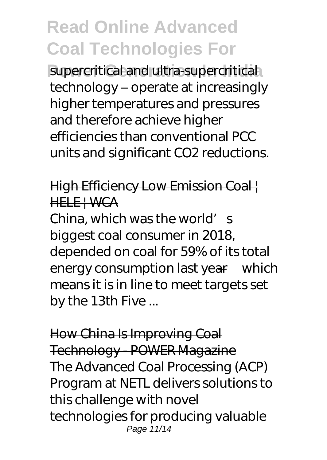supercritical and ultra-supercritical technology – operate at increasingly higher temperatures and pressures and therefore achieve higher efficiencies than conventional PCC units and significant CO2 reductions.

#### High Efficiency Low Emission Coal | HELE | WCA

China, which was the world's biggest coal consumer in 2018, depended on coal for 59% of its total energy consumption last year—which means it is in line to meet targets set by the 13th Five ...

How China Is Improving Coal Technology - POWER Magazine The Advanced Coal Processing (ACP) Program at NETL delivers solutions to this challenge with novel technologies for producing valuable Page 11/14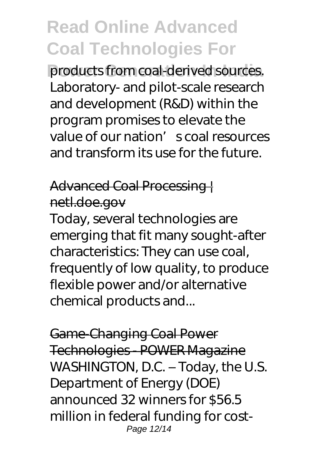products from coal-derived sources. Laboratory- and pilot-scale research and development (R&D) within the program promises to elevate the value of our nation's coal resources and transform its use for the future.

#### Advanced Coal Processing | netl.doe.gov

Today, several technologies are emerging that fit many sought-after characteristics: They can use coal, frequently of low quality, to produce flexible power and/or alternative chemical products and...

Game-Changing Coal Power Technologies - POWER Magazine WASHINGTON, D.C. – Today, the U.S. Department of Energy (DOE) announced 32 winners for \$56.5 million in federal funding for cost-Page 12/14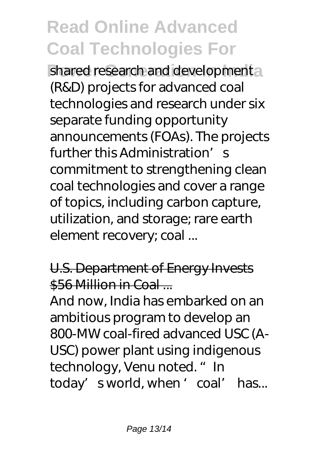shared research and developmental (R&D) projects for advanced coal technologies and research under six separate funding opportunity announcements (FOAs). The projects further this Administration's commitment to strengthening clean coal technologies and cover a range of topics, including carbon capture, utilization, and storage; rare earth element recovery; coal ...

#### U.S. Department of Energy Invests \$56 Million in Coal

And now, India has embarked on an ambitious program to develop an 800-MW coal-fired advanced USC (A-USC) power plant using indigenous technology, Venu noted. " In today' sworld, when ' coal' has...